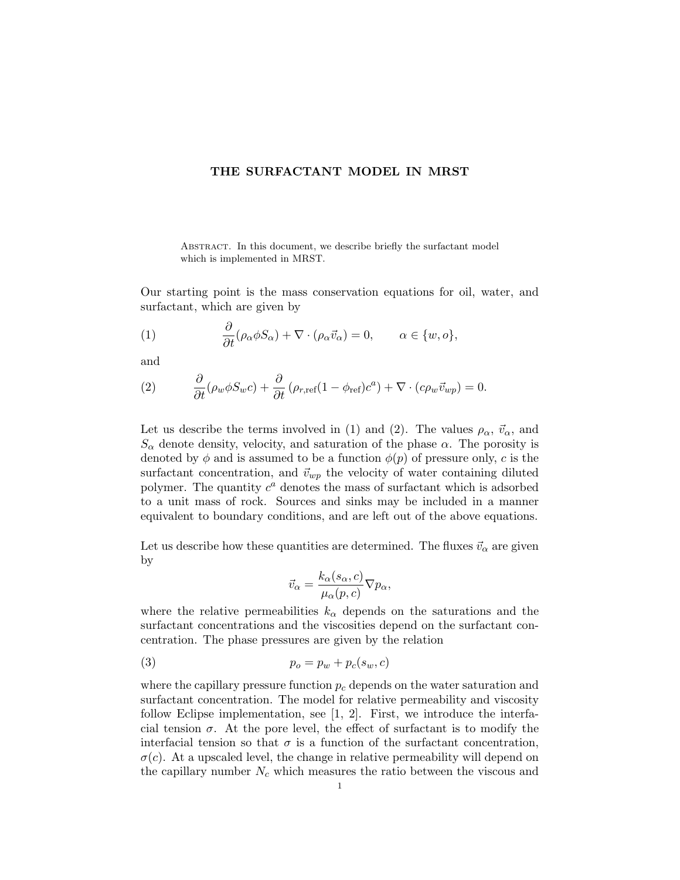## THE SURFACTANT MODEL IN MRST

ABSTRACT. In this document, we describe briefly the surfactant model which is implemented in MRST.

Our starting point is the mass conservation equations for oil, water, and surfactant, which are given by

(1) 
$$
\frac{\partial}{\partial t} (\rho_\alpha \phi S_\alpha) + \nabla \cdot (\rho_\alpha \vec{v}_\alpha) = 0, \qquad \alpha \in \{w, o\},
$$

and

(2) 
$$
\frac{\partial}{\partial t}(\rho_w \phi S_w c) + \frac{\partial}{\partial t}(\rho_{r,ref}(1 - \phi_{ref})c^a) + \nabla \cdot (c\rho_w \vec{v}_{wp}) = 0.
$$

Let us describe the terms involved in (1) and (2). The values  $\rho_{\alpha}$ ,  $\vec{v}_{\alpha}$ , and  $S_{\alpha}$  denote density, velocity, and saturation of the phase  $\alpha$ . The porosity is denoted by  $\phi$  and is assumed to be a function  $\phi(p)$  of pressure only, c is the surfactant concentration, and  $\vec{v}_{wp}$  the velocity of water containing diluted polymer. The quantity  $c^a$  denotes the mass of surfactant which is adsorbed to a unit mass of rock. Sources and sinks may be included in a manner equivalent to boundary conditions, and are left out of the above equations.

Let us describe how these quantities are determined. The fluxes  $\vec{v}_{\alpha}$  are given by

$$
\vec{v}_{\alpha} = \frac{k_{\alpha}(s_{\alpha}, c)}{\mu_{\alpha}(p, c)} \nabla p_{\alpha},
$$

where the relative permeabilities  $k_{\alpha}$  depends on the saturations and the surfactant concentrations and the viscosities depend on the surfactant concentration. The phase pressures are given by the relation

$$
(3) \t\t\t p_o = p_w + p_c(s_w, c)
$$

where the capillary pressure function  $p_c$  depends on the water saturation and surfactant concentration. The model for relative permeability and viscosity follow Eclipse implementation, see [1, 2]. First, we introduce the interfacial tension  $\sigma$ . At the pore level, the effect of surfactant is to modify the interfacial tension so that  $\sigma$  is a function of the surfactant concentration,  $\sigma(c)$ . At a upscaled level, the change in relative permeability will depend on the capillary number  $N_c$  which measures the ratio between the viscous and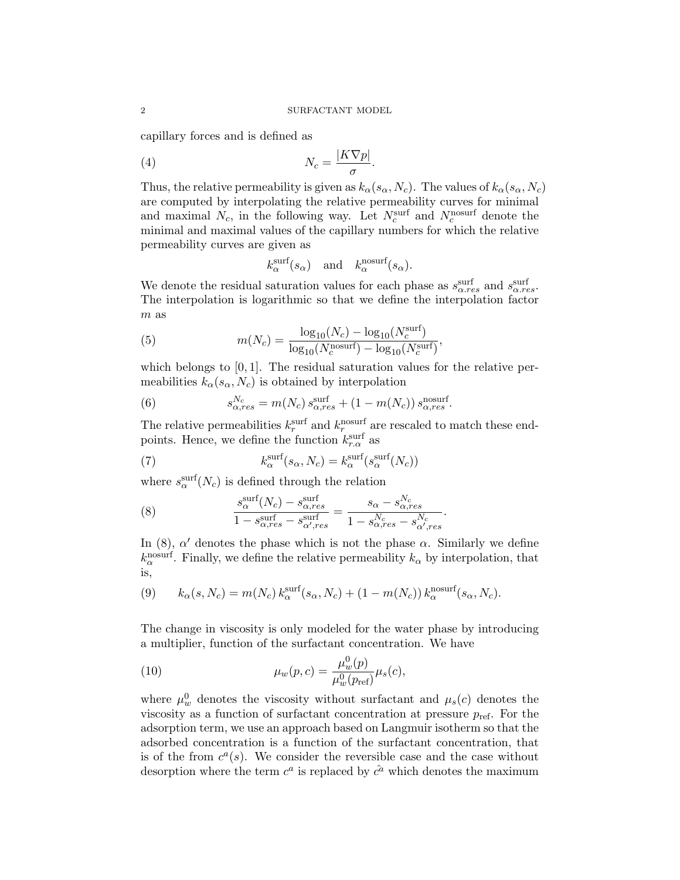capillary forces and is defined as

$$
N_c = \frac{|K\nabla p|}{\sigma}.
$$

Thus, the relative permeability is given as  $k_{\alpha}(s_{\alpha}, N_c)$ . The values of  $k_{\alpha}(s_{\alpha}, N_c)$ are computed by interpolating the relative permeability curves for minimal and maximal  $N_c$ , in the following way. Let  $N_c^{\text{surf}}$  and  $N_c^{\text{nosurf}}$  denote the minimal and maximal values of the capillary numbers for which the relative permeability curves are given as

$$
k_{\alpha}^{\text{surf}}(s_{\alpha})
$$
 and  $k_{\alpha}^{\text{nosurf}}(s_{\alpha}).$ 

We denote the residual saturation values for each phase as  $s_{\alpha,res}^{\text{surf}}$  and  $s_{\alpha,res}^{\text{surf}}$ . The interpolation is logarithmic so that we define the interpolation factor m as

(5) 
$$
m(N_c) = \frac{\log_{10}(N_c) - \log_{10}(N_c^{\text{surf}})}{\log_{10}(N_c^{\text{nosurf}}) - \log_{10}(N_c^{\text{surf}})},
$$

which belongs to  $[0, 1]$ . The residual saturation values for the relative permeabilities  $k_{\alpha}(s_{\alpha}, N_c)$  is obtained by interpolation

(6) 
$$
s_{\alpha,res}^{N_c} = m(N_c) s_{\alpha,res}^{\text{surf}} + (1 - m(N_c)) s_{\alpha,res}^{\text{nosurf}}.
$$

The relative permeabilities  $k_r^{\text{surf}}$  and  $k_r^{\text{nosurf}}$  are rescaled to match these endpoints. Hence, we define the function  $k_{r,\alpha}^{\text{surf}}$  as

(7) 
$$
k_{\alpha}^{\text{surf}}(s_{\alpha}, N_c) = k_{\alpha}^{\text{surf}}(s_{\alpha}^{\text{surf}}(N_c))
$$

where  $s_{\alpha}^{\text{surf}}(N_c)$  is defined through the relation

(8) 
$$
\frac{s^{\text{surf}}_{\alpha}(N_c) - s^{\text{surf}}_{\alpha,res}}{1 - s^{\text{surf}}_{\alpha,res} - s^{\text{surf}}_{\alpha', res}} = \frac{s_{\alpha} - s^{N_c}_{\alpha,res}}{1 - s^{N_c}_{\alpha,res} - s^{N_c}_{\alpha', res}}.
$$

In (8),  $\alpha'$  denotes the phase which is not the phase  $\alpha$ . Similarly we define  $k_{\alpha}^{\text{nosurf}}$ . Finally, we define the relative permeability  $k_{\alpha}$  by interpolation, that is,

(9) 
$$
k_{\alpha}(s, N_c) = m(N_c) k_{\alpha}^{\text{surf}}(s_{\alpha}, N_c) + (1 - m(N_c)) k_{\alpha}^{\text{nosurf}}(s_{\alpha}, N_c).
$$

The change in viscosity is only modeled for the water phase by introducing a multiplier, function of the surfactant concentration. We have

(10) 
$$
\mu_w(p,c) = \frac{\mu_w^0(p)}{\mu_w^0(p_{\text{ref}})} \mu_s(c),
$$

where  $\mu_w^0$  denotes the viscosity without surfactant and  $\mu_s(c)$  denotes the viscosity as a function of surfactant concentration at pressure  $p_{ref}$ . For the adsorption term, we use an approach based on Langmuir isotherm so that the adsorbed concentration is a function of the surfactant concentration, that is of the from  $c^a(s)$ . We consider the reversible case and the case without desorption where the term  $c^a$  is replaced by  $\hat{c}^a$  which denotes the maximum